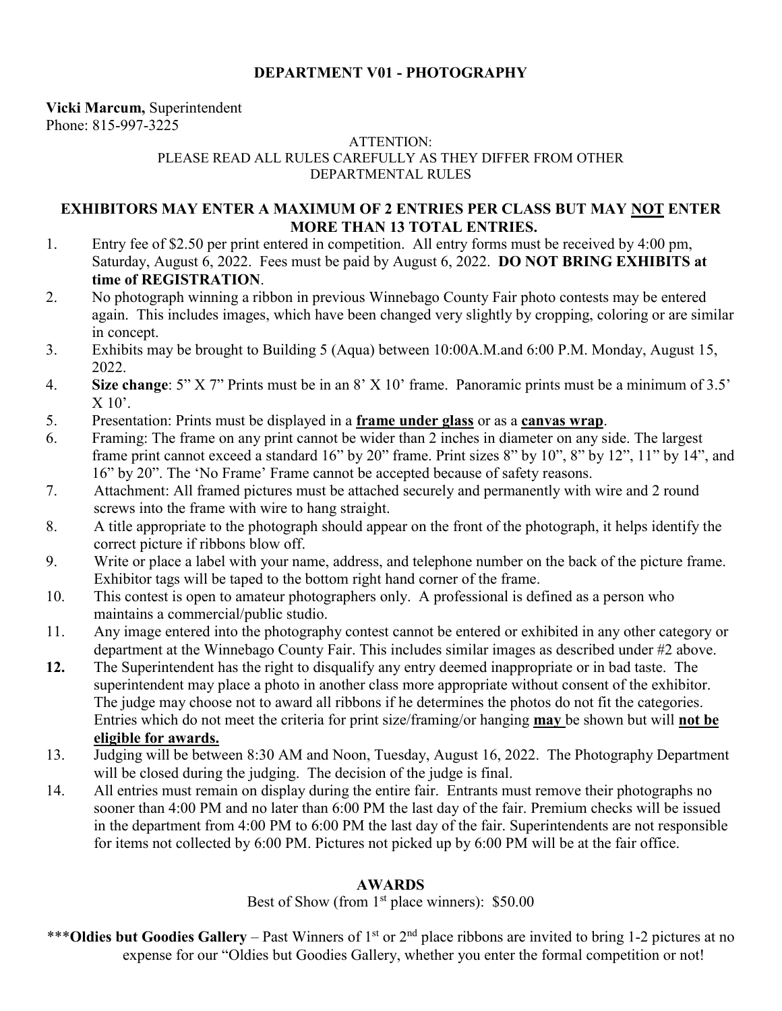# **DEPARTMENT V01 - PHOTOGRAPHY**

**Vicki Marcum,** Superintendent Phone: 815-997-3225

#### ATTENTION: PLEASE READ ALL RULES CAREFULLY AS THEY DIFFER FROM OTHER DEPARTMENTAL RULES

## **EXHIBITORS MAY ENTER A MAXIMUM OF 2 ENTRIES PER CLASS BUT MAY NOT ENTER MORE THAN 13 TOTAL ENTRIES.**

- 1. Entry fee of \$2.50 per print entered in competition. All entry forms must be received by 4:00 pm, Saturday, August 6, 2022. Fees must be paid by August 6, 2022. **DO NOT BRING EXHIBITS at time of REGISTRATION**.
- 2. No photograph winning a ribbon in previous Winnebago County Fair photo contests may be entered again. This includes images, which have been changed very slightly by cropping, coloring or are similar in concept.
- 3. Exhibits may be brought to Building 5 (Aqua) between 10:00A.M.and 6:00 P.M. Monday, August 15, 2022.
- 4. **Size change**: 5" X 7" Prints must be in an 8' X 10' frame. Panoramic prints must be a minimum of 3.5'  $X$  10'.
- 5. Presentation: Prints must be displayed in a **frame under glass** or as a **canvas wrap**.
- 6. Framing: The frame on any print cannot be wider than 2 inches in diameter on any side. The largest frame print cannot exceed a standard 16" by 20" frame. Print sizes 8" by 10", 8" by 12", 11" by 14", and 16" by 20". The 'No Frame' Frame cannot be accepted because of safety reasons.
- 7. Attachment: All framed pictures must be attached securely and permanently with wire and 2 round screws into the frame with wire to hang straight.
- 8. A title appropriate to the photograph should appear on the front of the photograph, it helps identify the correct picture if ribbons blow off.
- 9. Write or place a label with your name, address, and telephone number on the back of the picture frame. Exhibitor tags will be taped to the bottom right hand corner of the frame.
- 10. This contest is open to amateur photographers only. A professional is defined as a person who maintains a commercial/public studio.
- 11. Any image entered into the photography contest cannot be entered or exhibited in any other category or department at the Winnebago County Fair. This includes similar images as described under #2 above.
- **12.** The Superintendent has the right to disqualify any entry deemed inappropriate or in bad taste. The superintendent may place a photo in another class more appropriate without consent of the exhibitor. The judge may choose not to award all ribbons if he determines the photos do not fit the categories. Entries which do not meet the criteria for print size/framing/or hanging **may** be shown but will **not be eligible for awards.**
- 13. Judging will be between 8:30 AM and Noon, Tuesday, August 16, 2022. The Photography Department will be closed during the judging. The decision of the judge is final.
- 14. All entries must remain on display during the entire fair. Entrants must remove their photographs no sooner than 4:00 PM and no later than 6:00 PM the last day of the fair. Premium checks will be issued in the department from 4:00 PM to 6:00 PM the last day of the fair. Superintendents are not responsible for items not collected by 6:00 PM. Pictures not picked up by 6:00 PM will be at the fair office.

## **AWARDS**

Best of Show (from  $1<sup>st</sup>$  place winners): \$50.00

\*\*\***Oldies but Goodies Gallery** – Past Winners of 1<sup>st</sup> or 2<sup>nd</sup> place ribbons are invited to bring 1-2 pictures at no expense for our "Oldies but Goodies Gallery, whether you enter the formal competition or not!